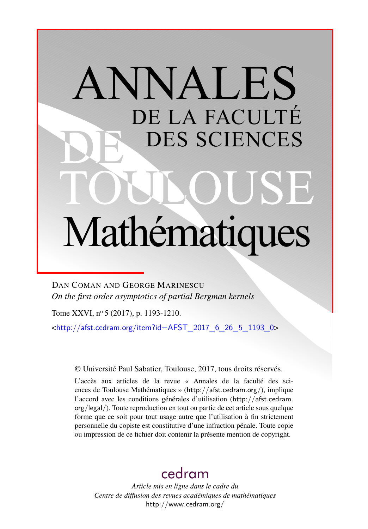# ANNALES DE LA FACULTÉ DES SCIENCES Mathématiques

DAN COMAN AND GEORGE MARINESCU *On the first order asymptotics of partial Bergman kernels*

Tome XXVI, nº 5 (2017), p. 1193-1210.

<[http://afst.cedram.org/item?id=AFST\\_2017\\_6\\_26\\_5\\_1193\\_0](http://afst.cedram.org/item?id=AFST_2017_6_26_5_1193_0)>

© Université Paul Sabatier, Toulouse, 2017, tous droits réservés.

L'accès aux articles de la revue « Annales de la faculté des sciences de Toulouse Mathématiques » (<http://afst.cedram.org/>), implique l'accord avec les conditions générales d'utilisation ([http://afst.cedram.](http://afst.cedram.org/legal/) [org/legal/](http://afst.cedram.org/legal/)). Toute reproduction en tout ou partie de cet article sous quelque forme que ce soit pour tout usage autre que l'utilisation à fin strictement personnelle du copiste est constitutive d'une infraction pénale. Toute copie ou impression de ce fichier doit contenir la présente mention de copyright.

## [cedram](http://www.cedram.org/)

*Article mis en ligne dans le cadre du Centre de diffusion des revues académiques de mathématiques* <http://www.cedram.org/>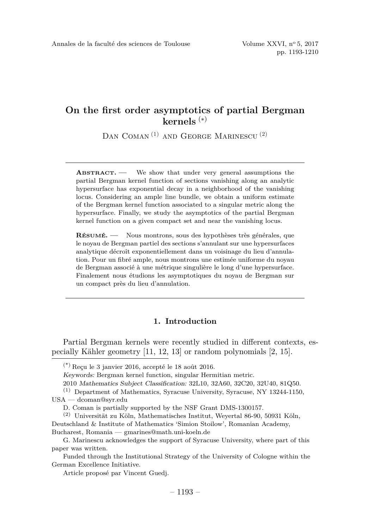DAN COMAN<sup>(1)</sup> AND GEORGE MARINESCU<sup>(2)</sup>

**ABSTRACT. —** We show that under very general assumptions the partial Bergman kernel function of sections vanishing along an analytic hypersurface has exponential decay in a neighborhood of the vanishing locus. Considering an ample line bundle, we obtain a uniform estimate of the Bergman kernel function associated to a singular metric along the hypersurface. Finally, we study the asymptotics of the partial Bergman kernel function on a given compact set and near the vanishing locus.

**RÉSUMÉ. —** Nous montrons, sous des hypothèses très générales, que le noyau de Bergman partiel des sections s'annulant sur une hypersurfaces analytique décroît exponentiellement dans un voisinage du lieu d'annulation. Pour un fibré ample, nous montrons une estimée uniforme du noyau de Bergman associé à une métrique singulière le long d'une hypersurface. Finalement nous étudions les asymptotiques du noyau de Bergman sur un compact près du lieu d'annulation.

#### **1. Introduction**

Partial Bergman kernels were recently studied in different contexts, especially Kähler geometry [\[11,](#page-17-0) [12,](#page-17-1) [13\]](#page-17-2) or random polynomials [\[2,](#page-17-3) [15\]](#page-18-0).

 $(*)$  Reçu le 3 janvier 2016, accepté le 18 août 2016.

Keywords: Bergman kernel function, singular Hermitian metric.

<sup>2010</sup> Mathematics Subject Classification: 32L10, 32A60, 32C20, 32U40, 81Q50.

<sup>(1)</sup> Department of Mathematics, Syracuse University, Syracuse, NY 13244-1150, USA — [dcoman@syr.edu](mailto:dcoman@syr.edu)

D. Coman is partially supported by the NSF Grant DMS-1300157.

<sup>(2)</sup> Universität zu Köln, Mathematisches Institut, Weyertal 86-90, 50931 Köln, Deutschland & Institute of Mathematics 'Simion Stoilow', Romanian Academy, Bucharest, Romania — [gmarines@math.uni-koeln.de](mailto:gmarines@math.uni-koeln.de)

G. Marinescu acknowledges the support of Syracuse University, where part of this paper was written.

Funded through the Institutional Strategy of the University of Cologne within the German Excellence Initiative.

Article proposé par Vincent Guedj.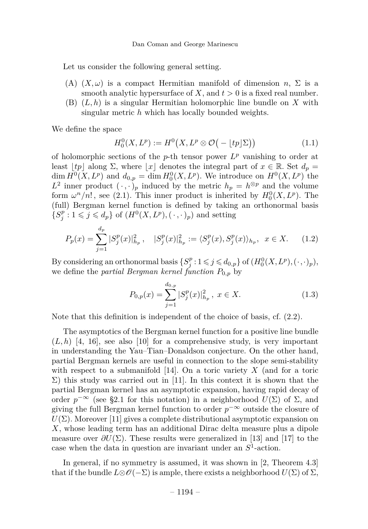Let us consider the following general setting.

- <span id="page-2-0"></span>(A)  $(X, \omega)$  is a compact Hermitian manifold of dimension *n*,  $\Sigma$  is a smooth analytic hypersurface of *X*, and  $t > 0$  is a fixed real number.
- <span id="page-2-1"></span>(B) (*L, h*) is a singular Hermitian holomorphic line bundle on *X* with singular metric *h* which has locally bounded weights.

We define the space

$$
H_0^0(X, L^p) := H^0\big(X, L^p \otimes \mathcal{O}\big(-\lfloor tp \rfloor \Sigma\big)\big) \tag{1.1}
$$

of holomorphic sections of the  $p$ -th tensor power  $L^p$  vanishing to order at least  $|tp|$  along  $\Sigma$ , where  $|x|$  denotes the integral part of  $x \in \mathbb{R}$ . Set  $d_p =$ dim  $H^0(X, L^p)$  and  $d_{0,p} = \dim H_0^0(X, L^p)$ . We introduce on  $H^0(X, L^p)$  the  $L^2$  inner product  $(\cdot, \cdot)_p$  induced by the metric  $h_p = h^{\otimes p}$  and the volume form  $\omega^n/n!$ , see [\(2.1\)](#page-6-0). This inner product is inherited by  $H_0^0(X, L^p)$ . The (full) Bergman kernel function is defined by taking an orthonormal basis  ${S_j^p : 1 \leqslant j \leqslant d_p}$  of  $(H^0(X, L^p), (\cdot, \cdot)_p)$  and setting

<span id="page-2-2"></span>
$$
P_p(x) = \sum_{j=1}^{d_p} |S_j^p(x)|_{h_p}^2, \quad |S_j^p(x)|_{h_p}^2 := \langle S_j^p(x), S_j^p(x) \rangle_{h_p}, \quad x \in X. \tag{1.2}
$$

By considering an orthonormal basis  $\{S_j^p : 1 \leq j \leq d_{0,p}\}$  of  $(H_0^0(X, L^p), (\cdot, \cdot)_p)$ , we define the *partial Bergman kernel function*  $P_{0,p}$  by

<span id="page-2-3"></span>
$$
P_{0,p}(x) = \sum_{j=1}^{d_{0,p}} |S_j^p(x)|_{h_p}^2, \ x \in X. \tag{1.3}
$$

Note that this definition is independent of the choice of basis, cf. [\(2.2\)](#page-6-1).

The asymptotics of the Bergman kernel function for a positive line bundle  $(L, h)$  [\[4,](#page-17-4) [16\]](#page-18-1), see also [\[10\]](#page-17-5) for a comprehensive study, is very important in understanding the Yau–Tian–Donaldson conjecture. On the other hand, partial Bergman kernels are useful in connection to the slope semi-stability with respect to a submanifold [\[14\]](#page-17-6). On a toric variety *X* (and for a toric  $\Sigma$ ) this study was carried out in [\[11\]](#page-17-0). In this context it is shown that the partial Bergman kernel has an asymptotic expansion, having rapid decay of order  $p^{-\infty}$  (see [§2.1](#page-6-2) for this notation) in a neighborhood  $U(\Sigma)$  of  $\Sigma$ , and giving the full Bergman kernel function to order  $p^{-\infty}$  outside the closure of  $U(\Sigma)$ . Moreover [\[11\]](#page-17-0) gives a complete distributional asymptotic expansion on *X*, whose leading term has an additional Dirac delta measure plus a dipole measure over  $\partial U(\Sigma)$ . These results were generalized in [\[13\]](#page-17-2) and [\[17\]](#page-18-2) to the case when the data in question are invariant under an  $S^1$ -action.

In general, if no symmetry is assumed, it was shown in [\[2,](#page-17-3) Theorem 4.3] that if the bundle  $L \otimes \mathscr{O}(-\Sigma)$  is ample, there exists a neighborhood  $U(\Sigma)$  of  $\Sigma$ ,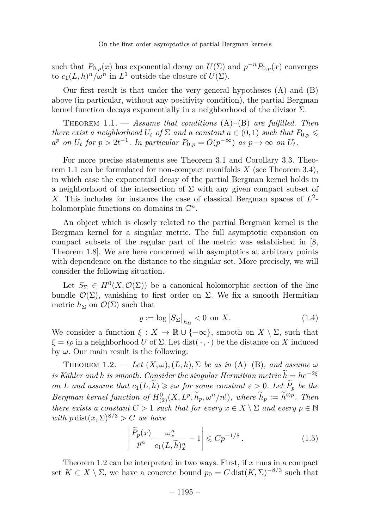such that  $P_{0,p}(x)$  has exponential decay on  $U(\Sigma)$  and  $p^{-n}P_{0,p}(x)$  converges to  $c_1(L, h)^n / \omega^n$  in  $L^1$  outside the closure of  $U(\Sigma)$ .

Our first result is that under the very general hypotheses [\(A\)](#page-2-0) and [\(B\)](#page-2-1) above (in particular, without any positivity condition), the partial Bergman kernel function decays exponentially in a neighborhood of the divisor  $\Sigma$ .

<span id="page-3-0"></span>Theorem 1.1. — *Assume that conditions* [\(A\)](#page-2-0)*–*[\(B\)](#page-2-1) *are fulfilled. Then there exist a neighborhood*  $U_t$  *of*  $\Sigma$  *and a constant*  $a \in (0,1)$  *such that*  $P_0$   $\infty$  $a^p$  *on*  $U_t$  *for*  $p > 2t^{-1}$ *. In particular*  $P_{0,p} = O(p^{-\infty})$  *as*  $p \to \infty$  *on*  $U_t$ *.* 

For more precise statements see Theorem [3.1](#page-8-0) and Corollary [3.3.](#page-9-0) Theorem [1.1](#page-3-0) can be formulated for non-compact manifolds *X* (see Theorem [3.4\)](#page-10-0), in which case the exponential decay of the partial Bergman kernel holds in a neighborhood of the intersection of  $\Sigma$  with any given compact subset of X. This includes for instance the case of classical Bergman spaces of  $L^2$ holomorphic functions on domains in  $\mathbb{C}^n$ .

An object which is closely related to the partial Bergman kernel is the Bergman kernel for a singular metric. The full asymptotic expansion on compact subsets of the regular part of the metric was established in [\[8,](#page-17-7) Theorem 1.8]. We are here concerned with asymptotics at arbitrary points with dependence on the distance to the singular set. More precisely, we will consider the following situation.

Let  $S_{\Sigma} \in H^0(X, \mathcal{O}(\Sigma))$  be a canonical holomorphic section of the line bundle  $\mathcal{O}(\Sigma)$ , vanishing to first order on  $\Sigma$ . We fix a smooth Hermitian metric  $h_{\Sigma}$  on  $\mathcal{O}(\Sigma)$  such that

<span id="page-3-3"></span>
$$
\varrho := \log \left| S_{\Sigma} \right|_{h_{\Sigma}} < 0 \text{ on } X. \tag{1.4}
$$

We consider a function  $\xi : X \to \mathbb{R} \cup \{-\infty\}$ , smooth on  $X \setminus \Sigma$ , such that  $\xi = t\rho$  in a neighborhood *U* of  $\Sigma$ . Let dist( $\cdot$ ,  $\cdot$ ) be the distance on *X* induced by  $\omega$ . Our main result is the following:

<span id="page-3-1"></span>THEOREM 1.2. — Let  $(X, \omega)$ ,  $(L, h)$ ,  $\Sigma$  be as in  $(A)$ – $(B)$ *, and assume*  $\omega$ *is Kähler and h is smooth. Consider the singular Hermitian metric*  $\widetilde{h} = he^{-2\xi}$ *on L and assume that*  $c_1(L, \tilde{h}) \geq \varepsilon \omega$  *for some constant*  $\varepsilon > 0$ *. Let*  $\tilde{P}_p$  *be the Bergman kernel function of*  $H_{(2)}^0(X, L^p, \tilde{h}_p, \omega^n/n!)$ *, where*  $\tilde{h}_p := \tilde{h}^{\otimes p}$ *. Then there exists a constant*  $C > 1$  *such that for every*  $x \in X \setminus \Sigma$  *and every*  $p \in \mathbb{N}$ *with*  $p \text{ dist}(x, \Sigma)^{8/3} > C$  *we have* 

<span id="page-3-2"></span>
$$
\left| \frac{\widetilde{P}_p(x)}{p^n} \frac{\omega_x^n}{c_1(L, \widetilde{h})_x^n} - 1 \right| \leqslant C p^{-1/8} \,. \tag{1.5}
$$

Theorem [1.2](#page-3-1) can be interpreted in two ways. First, if *x* runs in a compact set  $K \subset X \setminus \Sigma$ , we have a concrete bound  $p_0 = C \text{ dist}(K, \Sigma)^{-8/3}$  such that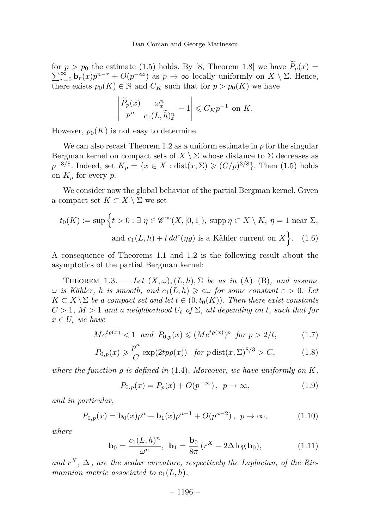for  $p > p_0$  the estimate [\(1.5\)](#page-3-2) holds. By [\[8,](#page-17-7) Theorem 1.8] we have  $P_p(x) = \sum_{r=0}^{\infty} \mathbf{b}_r(x)p^{n-r} + O(p^{-\infty})$  as  $p \to \infty$  locally uniformly on  $X \setminus \Sigma$ . Hence, there exists  $p_0(K) \in \mathbb{N}$  and  $C_K$  such that for  $p > p_0(K)$  we have

<span id="page-4-4"></span>
$$
\left|\frac{\widetilde{P}_p(x)}{p^n}\,\frac{\omega^n_x}{c_1(L,\widetilde{h})_{x}^n}-1\right|\leqslant C_Kp^{-1}\ \, \text{on}\,\,K.
$$

However,  $p_0(K)$  is not easy to determine.

We can also recast Theorem [1.2](#page-3-1) as a uniform estimate in *p* for the singular Bergman kernel on compact sets of  $X \setminus \Sigma$  whose distance to  $\Sigma$  decreases as *p*<sup>-3/8</sup>. Indeed, set *K<sub>p</sub>* = {*x* ∈ *X* : dist(*x*, Σ) ≥ (*C/p*)<sup>3/8</sup>}. Then [\(1.5\)](#page-3-2) holds on  $K_p$  for every  $p$ .

We consider now the global behavior of the partial Bergman kernel. Given a compact set  $K \subset X \setminus \Sigma$  we set

$$
t_0(K) := \sup \left\{ t > 0 : \exists \ \eta \in \mathscr{C}^{\infty}(X, [0, 1]), \text{ supp } \eta \subset X \setminus K, \ \eta = 1 \text{ near } \Sigma, \right\}
$$
  
and  $c_1(L, h) + t \, dd^c(\eta \varrho)$  is a Kähler current on  $X \left\}$ . (1.6)

A consequence of Theorems [1.1](#page-3-0) and [1.2](#page-3-1) is the following result about the asymptotics of the partial Bergman kernel:

<span id="page-4-2"></span>THEOREM 1.3. — Let  $(X, \omega)$ ,  $(L, h)$ ,  $\Sigma$  be as in  $(A)$ – $(B)$ *, and assume*  $\omega$  *is Kähler, h is smooth, and*  $c_1(L, h) \geq \varepsilon \omega$  *for some constant*  $\varepsilon > 0$ *. Let*  $K \subset X \setminus \Sigma$  *be a compact set and let*  $t \in (0, t_0(K))$ *. Then there exist constants*  $C > 1$ ,  $M > 1$  *and a neighborhood*  $U_t$  *of*  $\Sigma$ *, all depending on t, such that for*  $x \in U_t$  *we have* 

$$
Me^{t\varrho(x)} < 1 \quad \text{and} \quad P_{0,p}(x) \le (Me^{t\varrho(x)})^p \quad \text{for} \ p > 2/t,\tag{1.7}
$$

$$
P_{0,p}(x) \geqslant \frac{p^n}{C} \exp(2tp\varrho(x)) \quad \text{for } p \operatorname{dist}(x, \Sigma)^{8/3} > C,\tag{1.8}
$$

where the function  $\rho$  is defined in  $(1.4)$ . Moreover, we have uniformly on  $K$ .

<span id="page-4-3"></span><span id="page-4-1"></span><span id="page-4-0"></span>
$$
P_{0,p}(x) = P_p(x) + O(p^{-\infty}), \ \ p \to \infty,
$$
\n(1.9)

*and in particular,*

<span id="page-4-5"></span>
$$
P_{0,p}(x) = \mathbf{b}_0(x)p^n + \mathbf{b}_1(x)p^{n-1} + O(p^{n-2}), \ p \to \infty,
$$
 (1.10)

*where*

<span id="page-4-6"></span>
$$
\mathbf{b}_0 = \frac{c_1(L, h)^n}{\omega^n}, \ \mathbf{b}_1 = \frac{\mathbf{b}_0}{8\pi} (r^X - 2\Delta \log \mathbf{b}_0), \tag{1.11}
$$

and  $r^X$ ,  $\Delta$ , are the scalar curvature, respectively the Laplacian, of the Rie*mannian metric associated to*  $c_1(L, h)$ *.*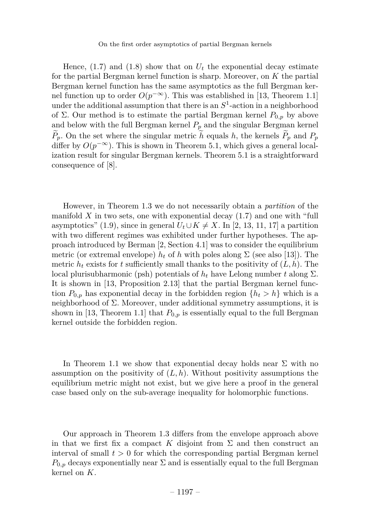Hence,  $(1.7)$  and  $(1.8)$  show that on  $U_t$  the exponential decay estimate for the partial Bergman kernel function is sharp. Moreover, on *K* the partial Bergman kernel function has the same asymptotics as the full Bergman kernel function up to order  $O(p^{-\infty})$ . This was established in [\[13,](#page-17-2) Theorem 1.1] under the additional assumption that there is an  $S<sup>1</sup>$ -action in a neighborhood of Σ. Our method is to estimate the partial Bergman kernel  $P_{0,p}$  by above and below with the full Bergman kernel  $P_p$  and the singular Bergman kernel  $\widetilde{P}_p$ . On the set where the singular metric  $\widetilde{h}$  equals *h*, the kernels  $\widetilde{P}_p$  and  $P_p$ differ by  $O(p^{-\infty})$ . This is shown in Theorem [5.1,](#page-16-0) which gives a general localization result for singular Bergman kernels. Theorem [5.1](#page-16-0) is a straightforward consequence of [\[8\]](#page-17-7).

However, in Theorem [1.3](#page-4-2) we do not necessarily obtain a *partition* of the manifold  $X$  in two sets, one with exponential decay  $(1.7)$  and one with "full asymptotics" [\(1.9\)](#page-4-3), since in general  $U_t \cup K \neq X$ . In [\[2,](#page-17-3) [13,](#page-17-2) [11,](#page-17-0) [17\]](#page-18-2) a partition with two different regimes was exhibited under further hypotheses. The approach introduced by Berman [\[2,](#page-17-3) Section 4.1] was to consider the equilibrium metric (or extremal envelope)  $h_t$  of  $h$  with poles along  $\Sigma$  (see also [\[13\]](#page-17-2)). The metric  $h_t$  exists for *t* sufficiently small thanks to the positivity of  $(L, h)$ . The local plurisubharmonic (psh) potentials of *h<sup>t</sup>* have Lelong number *t* along Σ. It is shown in [\[13,](#page-17-2) Proposition 2.13] that the partial Bergman kernel function  $P_{0,p}$  has exponential decay in the forbidden region  $\{h_t > h\}$  which is a neighborhood of  $\Sigma$ . Moreover, under additional symmetry assumptions, it is shown in [\[13,](#page-17-2) Theorem 1.1] that  $P_{0,p}$  is essentially equal to the full Bergman kernel outside the forbidden region.

In Theorem [1.1](#page-3-0) we show that exponential decay holds near  $\Sigma$  with no assumption on the positivity of  $(L, h)$ . Without positivity assumptions the equilibrium metric might not exist, but we give here a proof in the general case based only on the sub-average inequality for holomorphic functions.

Our approach in Theorem [1.3](#page-4-2) differs from the envelope approach above in that we first fix a compact K disjoint from  $\Sigma$  and then construct an interval of small  $t > 0$  for which the corresponding partial Bergman kernel  $P_{0,p}$  decays exponentially near  $\Sigma$  and is essentially equal to the full Bergman kernel on *K*.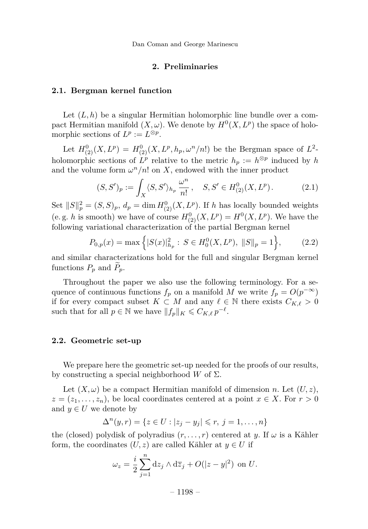Dan Coman and George Marinescu

#### **2. Preliminaries**

#### <span id="page-6-2"></span>**2.1. Bergman kernel function**

Let  $(L, h)$  be a singular Hermitian holomorphic line bundle over a compact Hermitian manifold  $(X, \omega)$ . We denote by  $H^0(X, L^p)$  the space of holomorphic sections of  $L^p := L^{\otimes p}$ .

Let  $H^0_{(2)}(X, L^p) = H^0_{(2)}(X, L^p, h_p, \omega^n/n!)$  be the Bergman space of  $L^2$ holomorphic sections of  $L^p$  relative to the metric  $h_p := h^{\otimes p}$  induced by *h* and the volume form  $\omega^n/n!$  on X, endowed with the inner product

<span id="page-6-0"></span>
$$
(S, S')_p := \int_X \langle S, S' \rangle_{h_p} \frac{\omega^n}{n!}, \quad S, S' \in H^0_{(2)}(X, L^p). \tag{2.1}
$$

Set  $||S||_p^2 = (S, S)_p$ ,  $d_p = \dim H_{(2)}^0(X, L^p)$ . If *h* has locally bounded weights (e.g. *h* is smooth) we have of course  $H_{(2)}^{0}(X, L^{p}) = H^{0}(X, L^{p})$ . We have the following variational characterization of the partial Bergman kernel

<span id="page-6-1"></span>
$$
P_{0,p}(x) = \max\left\{ |S(x)|_{h_p}^2 : S \in H_0^0(X, L^p), ||S||_p = 1 \right\},\tag{2.2}
$$

and similar characterizations hold for the full and singular Bergman kernel functions  $P_p$  and  $\tilde{P}_p$ .

Throughout the paper we also use the following terminology. For a sequence of continuous functions  $f_p$  on a manifold *M* we write  $f_p = O(p^{-\infty})$ if for every compact subset  $K \subset M$  and any  $\ell \in \mathbb{N}$  there exists  $C_{K,\ell} > 0$ such that for all  $p \in \mathbb{N}$  we have  $||f_p||_K \leq C_{K,\ell} p^{-\ell}$ .

#### <span id="page-6-3"></span>**2.2. Geometric set-up**

We prepare here the geometric set-up needed for the proofs of our results, by constructing a special neighborhood *W* of Σ.

Let  $(X, \omega)$  be a compact Hermitian manifold of dimension *n*. Let  $(U, z)$ ,  $z = (z_1, \ldots, z_n)$ , be local coordinates centered at a point  $x \in X$ . For  $r > 0$ and  $y \in U$  we denote by

$$
\Delta^{n}(y,r) = \{ z \in U : |z_j - y_j| \leq r, \ j = 1, \dots, n \}
$$

the (closed) polydisk of polyradius  $(r, \ldots, r)$  centered at *y*. If  $\omega$  is a Kähler form, the coordinates  $(U, z)$  are called Kähler at  $y \in U$  if

$$
\omega_z = \frac{i}{2} \sum_{j=1}^n dz_j \wedge d\overline{z}_j + O(|z - y|^2) \text{ on } U.
$$

 $-1198-$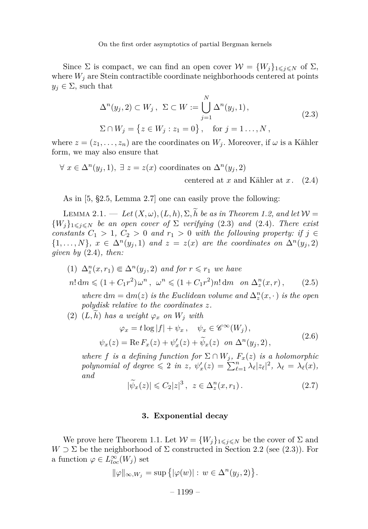Since  $\Sigma$  is compact, we can find an open cover  $\mathcal{W} = \{W_j\}_{1 \leq j \leq N}$  of  $\Sigma$ , where  $W_i$  are Stein contractible coordinate neighborhoods centered at points  $y_j \in \Sigma$ , such that

<span id="page-7-1"></span>
$$
\Delta^{n}(y_{j}, 2) \subset W_{j}, \ \Sigma \subset W := \bigcup_{j=1}^{N} \Delta^{n}(y_{j}, 1),
$$
  
\n
$$
\Sigma \cap W_{j} = \{ z \in W_{j} : z_{1} = 0 \}, \quad \text{for } j = 1... , N ,
$$
\n(2.3)

<span id="page-7-0"></span>where  $z = (z_1, \ldots, z_n)$  are the coordinates on  $W_i$ . Moreover, if  $\omega$  is a Kähler form, we may also ensure that

$$
\forall x \in \Delta^n(y_j, 1), \exists z = z(x) \text{ coordinates on } \Delta^n(y_j, 2)
$$
  
centered at x and Kähler at x. (2.4)

As in [\[5,](#page-17-8) §2.5, Lemma 2.7] one can easily prove the following:

LEMMA 2.1. — Let  $(X, \omega)$ ,  $(L, h)$ ,  $\Sigma$ ,  $\widetilde{h}$  be as in Theorem [1.2,](#page-3-1) and let  $\mathcal{W} =$  ${W_i}_{1 \leq i \leq N}$  *be an open cover of*  $\Sigma$  *verifying* [\(2.3\)](#page-7-0) *and* [\(2.4\)](#page-7-1)*. There exist constants*  $C_1 > 1$ ,  $C_2 > 0$  *and*  $r_1 > 0$  *with the following property: if*  $j \in$  $\{1, \ldots, N\}$ ,  $x \in \Delta^n(y_j, 1)$  and  $z = z(x)$  are the coordinates on  $\Delta^n(y_j, 2)$ *given by* [\(2.4\)](#page-7-1)*, then:*

<span id="page-7-3"></span>(1)  $\Delta_z^n(x, r_1) \in \Delta^n(y_j, 2)$  *and for*  $r \le r_1$  *we have*  $n! \, dm \leq (1 + C_1 r^2) \omega^n, \quad \omega^n \leq (1 + C_1 r^2) n! \, dm \quad on \ \Delta_z^n(x, r),$  (2.5)

*where*  $dm = dm(z)$  *is the Euclidean volume and*  $\Delta_z^n(x, \cdot)$  *is the open polydisk relative to the coordinates z.*

 $(2)$   $(L, \tilde{h})$  *has a weight*  $\varphi_x$  *on*  $W_i$  *with* 

<span id="page-7-2"></span>
$$
\varphi_x = t \log |f| + \psi_x, \quad \psi_x \in \mathscr{C}^{\infty}(W_j),
$$
  

$$
\psi_x(z) = \text{Re}\, F_x(z) + \psi'_x(z) + \widetilde{\psi}_x(z) \quad on \ \Delta^n(y_j, 2), \tag{2.6}
$$

*where f is a defining function for*  $\Sigma \cap W_j$ ,  $F_x(z)$  *is a holomorphic polynomial of degree*  $\leqslant 2$  *in z*,  $\psi'_x(z) = \sum_{\ell=1}^n \lambda_\ell |z_\ell|^2$ ,  $\lambda_\ell = \lambda_\ell(x)$ , *and*

<span id="page-7-4"></span>
$$
|\widetilde{\psi}_x(z)| \leqslant C_2 |z|^3 \,, \quad z \in \Delta_z^n(x, r_1) \,. \tag{2.7}
$$

#### **3. Exponential decay**

We prove here Theorem [1.1.](#page-3-0) Let  $W = \{W_i\}_{1 \leq i \leq N}$  be the cover of  $\Sigma$  and  $W \supset \Sigma$  be the neighborhood of  $\Sigma$  constructed in Section [2.2](#page-6-3) (see [\(2.3\)](#page-7-0)). For a function  $\varphi \in L^{\infty}_{loc}(W_j)$  set

$$
\|\varphi\|_{\infty, W_j} = \sup \left\{ |\varphi(w)| : w \in \Delta^n(y_j, 2) \right\}.
$$

 $-1199-$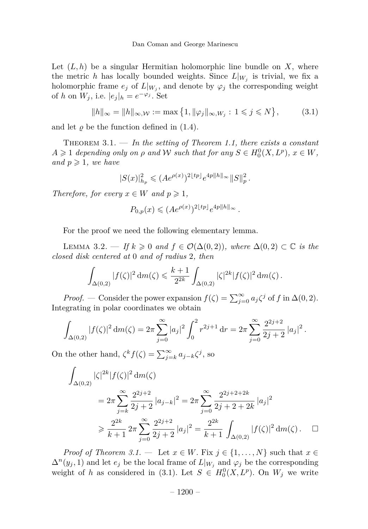Let  $(L, h)$  be a singular Hermitian holomorphic line bundle on X, where the metric *h* has locally bounded weights. Since  $L|_{W_j}$  is trivial, we fix a holomorphic frame  $e_j$  of  $L|_{W_j}$ , and denote by  $\varphi_j$  the corresponding weight of *h* on  $W_j$ , i.e.  $|e_j|_h = e^{-\varphi_j}$ . Set

<span id="page-8-1"></span>
$$
||h||_{\infty} = ||h||_{\infty, \mathcal{W}} := \max\{1, ||\varphi_j||_{\infty, W_j} : 1 \leq j \leq N\},
$$
 (3.1)

and let  $\rho$  be the function defined in  $(1.4)$ .

<span id="page-8-0"></span>Theorem 3.1. — *In the setting of Theorem [1.1,](#page-3-0) there exists a constant*  $A \geq 1$  *depending only on*  $\rho$  *and*  $W$  *such that for any*  $S \in H_0^0(X, L^p)$ ,  $x \in W$ , *and*  $p \geq 1$ *, we have* 

$$
|S(x)|_{h_p}^2 \leqslant (A e^{\rho(x)})^{2\lfloor tp \rfloor} e^{4p\|h\|_\infty} \|S\|_p^2.
$$

*Therefore, for every*  $x \in W$  *and*  $p \ge 1$ *,* 

$$
P_{0,p}(x) \leq (Ae^{\rho(x)})^{2\lfloor tp \rfloor} e^{4p||h||_{\infty}}.
$$

For the proof we need the following elementary lemma.

<span id="page-8-2"></span>LEMMA 3.2. — *If*  $k \ge 0$  *and*  $f \in \mathcal{O}(\Delta(0,2))$ *, where*  $\Delta(0,2) \subset \mathbb{C}$  *is the closed disk centered at* 0 *and of radius* 2*, then*

$$
\int_{\Delta(0,2)} |f(\zeta)|^2 \, dm(\zeta) \leqslant \frac{k+1}{2^{2k}} \int_{\Delta(0,2)} |\zeta|^{2k} |f(\zeta)|^2 \, dm(\zeta) \, .
$$

*Proof.* — Consider the power expansion  $f(\zeta) = \sum_{j=0}^{\infty} a_j \zeta^j$  of *f* in  $\Delta(0, 2)$ . Integrating in polar coordinates we obtain

$$
\int_{\Delta(0,2)} |f(\zeta)|^2 \, dm(\zeta) = 2\pi \sum_{j=0}^{\infty} |a_j|^2 \int_0^2 r^{2j+1} \, dr = 2\pi \sum_{j=0}^{\infty} \frac{2^{2j+2}}{2j+2} |a_j|^2.
$$

On the other hand,  $\zeta^k f(\zeta) = \sum_{j=k}^{\infty} a_{j-k} \zeta^j$ , so

$$
\int_{\Delta(0,2)} |\zeta|^{2k} |f(\zeta)|^2 dm(\zeta)
$$
\n
$$
= 2\pi \sum_{j=k}^{\infty} \frac{2^{2j+2}}{2j+2} |a_{j-k}|^2 = 2\pi \sum_{j=0}^{\infty} \frac{2^{2j+2+2k}}{2j+2+2k} |a_j|^2
$$
\n
$$
\geq \frac{2^{2k}}{k+1} 2\pi \sum_{j=0}^{\infty} \frac{2^{2j+2}}{2j+2} |a_j|^2 = \frac{2^{2k}}{k+1} \int_{\Delta(0,2)} |f(\zeta)|^2 dm(\zeta) . \quad \Box
$$

*Proof of Theorem [3.1.](#page-8-0)* — Let  $x \in W$ . Fix  $j \in \{1, ..., N\}$  such that  $x \in$  $\Delta^{n}(y_{j}, 1)$  and let  $e_{j}$  be the local frame of  $L|_{W_{j}}$  and  $\varphi_{j}$  be the corresponding weight of *h* as considered in [\(3.1\)](#page-8-1). Let  $S \in H_0^0(X, L^p)$ . On  $W_j$  we write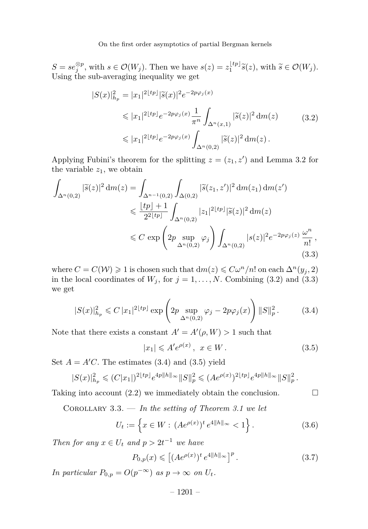$S = s e_j^{\otimes p}$ , with  $s \in \mathcal{O}(W_j)$ . Then we have  $s(z) = z_1^{\lfloor tp \rfloor} \tilde{s}(z)$ , with  $\tilde{s} \in \mathcal{O}(W_j)$ . Using the sub-averaging inequality we get

$$
|S(x)|_{h_p}^2 = |x_1|^{2\lfloor tp \rfloor} |\tilde{s}(x)|^2 e^{-2p\varphi_j(x)} \n\leq |x_1|^{2\lfloor tp \rfloor} e^{-2p\varphi_j(x)} \frac{1}{\pi^n} \int_{\Delta^n(x,1)} |\tilde{s}(z)|^2 dm(z) \n\leq |x_1|^{2\lfloor tp \rfloor} e^{-2p\varphi_j(x)} \int_{\Delta^n(0,2)} |\tilde{s}(z)|^2 dm(z).
$$
\n(3.2)

<span id="page-9-1"></span>Applying Fubini's theorem for the splitting  $z = (z_1, z')$  and Lemma [3.2](#page-8-2) for the variable  $z_1$ , we obtain

<span id="page-9-2"></span>
$$
\int_{\Delta^n(0,2)} |\tilde{s}(z)|^2 dm(z) = \int_{\Delta^{n-1}(0,2)} \int_{\Delta(0,2)} |\tilde{s}(z_1, z')|^2 dm(z_1) dm(z')
$$
  
\n
$$
\leq \frac{\lfloor tp \rfloor + 1}{2^{2\lfloor tp \rfloor}} \int_{\Delta^n(0,2)} |z_1|^{2\lfloor tp \rfloor} |\tilde{s}(z)|^2 dm(z)
$$
  
\n
$$
\leq C \exp\left(2p \sup_{\Delta^n(0,2)} \varphi_j\right) \int_{\Delta^n(0,2)} |s(z)|^2 e^{-2p\varphi_j(z)} \frac{\omega^n}{n!},
$$
\n(3.3)

where  $C = C(\mathcal{W}) \geq 1$  is chosen such that  $dm(z) \leq C\omega^n/n!$  on each  $\Delta^n(y_i, 2)$ in the local coordinates of  $W_j$ , for  $j = 1, \ldots, N$ . Combining [\(3.2\)](#page-9-1) and [\(3.3\)](#page-9-2) we get

<span id="page-9-3"></span>
$$
|S(x)|_{h_p}^2 \leq C |x_1|^{2\lfloor tp \rfloor} \exp\left(2p \sup_{\Delta^n(0,2)} \varphi_j - 2p\varphi_j(x)\right) \|S\|_p^2. \tag{3.4}
$$

Note that there exists a constant  $A' = A'(\rho, W) > 1$  such that

<span id="page-9-4"></span>
$$
|x_1| \leqslant A'e^{\rho(x)}, \ x \in W. \tag{3.5}
$$

Set  $A = A'C$ . The estimates [\(3.4\)](#page-9-3) and [\(3.5\)](#page-9-4) yield

$$
|S(x)|_{h_p}^2 \leq (C|x_1|)^{2\lfloor tp \rfloor} e^{4p\|h\|_\infty} \|S\|_p^2 \leq (Ae^{\rho(x)})^{2\lfloor tp \rfloor} e^{4p\|h\|_\infty} \|S\|_p^2.
$$

Taking into account  $(2.2)$  we immediately obtain the conclusion.  $\Box$ 

<span id="page-9-0"></span>Corollary 3.3. — *In the setting of Theorem [3.1](#page-8-0) we let*

<span id="page-9-5"></span>
$$
U_t := \left\{ x \in W : (Ae^{\rho(x)})^t e^{4||h||_{\infty}} < 1 \right\}.
$$
 (3.6)

*Then for any*  $x \in U_t$  *and*  $p > 2t^{-1}$  *we have* 

<span id="page-9-6"></span>
$$
P_{0,p}(x) \leqslant \left[ (A e^{\rho(x)})^t e^{4||h||_{\infty}} \right]^p. \tag{3.7}
$$

*In particular*  $P_{0,p} = O(p^{-\infty})$  *as*  $p \to \infty$  *on*  $U_t$ *.* 

– 1201 –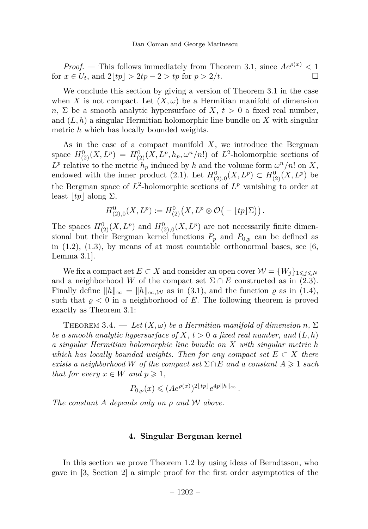*Proof.* — This follows immediately from Theorem [3.1,](#page-8-0) since  $Ae^{\rho(x)} < 1$  $\text{for } x \in U_t, \text{ and } 2|tp| > 2tp - 2 > tp \text{ for } p > 2/t.$ 

We conclude this section by giving a version of Theorem [3.1](#page-8-0) in the case when *X* is not compact. Let  $(X, \omega)$  be a Hermitian manifold of dimension *n*,  $\Sigma$  be a smooth analytic hypersurface of *X*,  $t > 0$  a fixed real number, and (*L, h*) a singular Hermitian holomorphic line bundle on *X* with singular metric *h* which has locally bounded weights.

As in the case of a compact manifold *X*, we introduce the Bergman space  $H_{(2)}^{0}(X, L^{p}) = H_{(2)}^{0}(X, L^{p}, h_{p}, \omega^{n}/n!)$  of  $L^{2}$ -holomorphic sections of  $L^p$  relative to the metric  $h_p$  induced by *h* and the volume form  $\omega^n/n!$  on *X*, endowed with the inner product [\(2.1\)](#page-6-0). Let  $H^0_{(2),0}(X, L^p) \subset H^0_{(2)}(X, L^p)$  be the Bergman space of  $L^2$ -holomorphic sections of  $L^p$  vanishing to order at least  $|tp|$  along  $\Sigma$ ,

$$
H^0_{(2),0}(X,L^p):=H^0_{(2)}(X,L^p\otimes\mathcal{O}\big(-\lfloor tp\rfloor\Sigma\big)\big).
$$

The spaces  $H^0_{(2)}(X, L^p)$  and  $H^0_{(2),0}(X, L^p)$  are not necessarily finite dimensional but their Bergman kernel functions  $P_p$  and  $P_{0,p}$  can be defined as in  $(1.2)$ ,  $(1.3)$ , by means of at most countable orthonormal bases, see [\[6,](#page-17-9) Lemma 3.1].

We fix a compact set  $E \subset X$  and consider an open cover  $\mathcal{W} = \{W_i\}_{1 \leq i \leq N}$ and a neighborhood *W* of the compact set  $\Sigma \cap E$  constructed as in [\(2.3\)](#page-7-0). Finally define  $||h||_{\infty} = ||h||_{\infty}$ , w as in [\(3.1\)](#page-8-1), and the function  $\varrho$  as in [\(1.4\)](#page-3-3), such that  $\rho < 0$  in a neighborhood of  $E$ . The following theorem is proved exactly as Theorem [3.1:](#page-8-0)

<span id="page-10-0"></span>THEOREM 3.4. — Let  $(X, \omega)$  be a Hermitian manifold of dimension n,  $\Sigma$ *be a smooth analytic hypersurface of*  $X, t > 0$  *a fixed real number, and*  $(L, h)$ *a singular Hermitian holomorphic line bundle on X with singular metric h which has locally bounded weights. Then for any compact set*  $E \subset X$  *there exists a neighborhood W of the compact set*  $\Sigma \cap E$  *and a constant*  $A \geq 1$  *such that for every*  $x \in W$  *and*  $p \geq 1$ *,* 

$$
P_{0,p}(x) \leqslant (A e^{\rho(x)})^{2\lfloor tp \rfloor } e^{4p\|h\|_{\infty}}.
$$

*The constant A depends only on ρ and* W *above.*

#### **4. Singular Bergman kernel**

In this section we prove Theorem [1.2](#page-3-1) by using ideas of Berndtsson, who gave in [\[3,](#page-17-10) Section 2] a simple proof for the first order asymptotics of the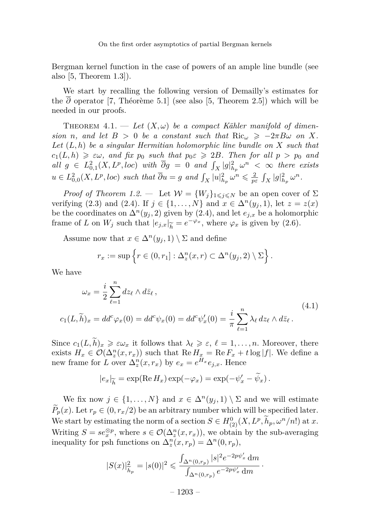Bergman kernel function in the case of powers of an ample line bundle (see also [\[5,](#page-17-8) Theorem 1.3]).

We start by recalling the following version of Demailly's estimates for the  $\overline{\partial}$  operator [\[7,](#page-17-11) Théorème 5.1] (see also [\[5,](#page-17-8) Theorem 2.5]) which will be needed in our proofs.

<span id="page-11-0"></span>THEOREM  $4.1.$  — Let  $(X, \omega)$  be a compact Kähler manifold of dimen*sion n*, and let  $B > 0$  be a constant such that  $\text{Ric}_{\omega} \ge -2\pi B\omega$  on X. *Let* (*L, h*) *be a singular Hermitian holomorphic line bundle on X such that*  $c_1(L, h) \geq \varepsilon \omega$ , and fix  $p_0$  such that  $p_0 \varepsilon \geq 2B$ . Then for all  $p > p_0$  and  $all \ g \in L^2_{0,1}(X, L^p, loc) \ with \ \overline{\partial}g = 0 \ and \ \int_X |g|^2_{h_p} \omega^n < \infty \ there exists$  $u \in L^2_{0,0}(X, L^p, loc)$  such that  $\overline{\partial} u = g$  and  $\int_X |u|^2_{h_p} \omega^n \leq \frac{2}{p\varepsilon} \int_X |g|^2_{h_p} \omega^n$ .

*Proof of Theorem [1.2.](#page-3-1)* — Let  $W = \{W_j\}_{1 \leq j \leq N}$  be an open cover of  $\Sigma$ verifying [\(2.3\)](#page-7-0) and [\(2.4\)](#page-7-1). If  $j \in \{1, ..., N\}$  and  $x \in \Delta^{n}(y_{j}, 1)$ , let  $z = z(x)$ be the coordinates on  $\Delta^{n}(y_{j}, 2)$  given by [\(2.4\)](#page-7-1), and let  $e_{j,x}$  be a holomorphic frame of *L* on  $W_j$  such that  $|e_{j,x}|_{\widetilde{h}} = e^{-\varphi_x}$ , where  $\varphi_x$  is given by [\(2.6\)](#page-7-2).

Assume now that  $x \in \Delta^n(y_i, 1) \setminus \Sigma$  and define

$$
r_x := \sup \left\{ r \in (0, r_1] : \Delta_z^n(x, r) \subset \Delta^n(y_j, 2) \setminus \Sigma \right\}.
$$

We have

<span id="page-11-1"></span>
$$
\omega_x = \frac{i}{2} \sum_{\ell=1}^n dz_\ell \wedge d\bar{z}_\ell ,
$$
  
\n
$$
c_1(L, \tilde{h})_x = dd^c \varphi_x(0) = dd^c \psi_x(0) = dd^c \psi'_x(0) = \frac{i}{\pi} \sum_{\ell=1}^n \lambda_\ell dz_\ell \wedge d\bar{z}_\ell .
$$
\n(4.1)

Since  $c_1(L, \tilde{h})_x \geq \varepsilon \omega_x$  it follows that  $\lambda_\ell \geq \varepsilon$ ,  $\ell = 1, \ldots, n$ . Moreover, there exists  $H_x \in \mathcal{O}(\Delta_z^n(x, r_x))$  such that  $\text{Re}\,H_x = \text{Re}\,F_x + t \log|f|$ . We define a new frame for *L* over  $\Delta_z^n(x, r_x)$  by  $e_x = e^{H_x} e_{j,x}$ . Hence

$$
|e_x|_{\widetilde{h}} = \exp(\operatorname{Re} H_x) \exp(-\varphi_x) = \exp(-\psi_x' - \widetilde{\psi}_x).
$$

We fix now  $j \in \{1, ..., N\}$  and  $x \in \Delta^n(y_j, 1) \setminus \Sigma$  and we will estimate  $P_p(x)$ . Let  $r_p \in (0, r_x/2)$  be an arbitrary number which will be specified later. We start by estimating the norm of a section  $S \in H^0_{(2)}(X, L^p, \tilde{h}_p, \omega^n/n!)$  at *x*. Writing  $S = s e_x^{\otimes p}$ , where  $s \in \mathcal{O}(\Delta_z^n(x, r_x))$ , we obtain by the sub-averaging inequality for psh functions on  $\Delta_z^n(x, r_p) = \Delta^n(0, r_p)$ ,

$$
|S(x)|_{\widetilde{h}_p}^2 = |s(0)|^2 \leq \frac{\int_{\Delta^n(0,r_p)} |s|^2 e^{-2p\psi'_x} dm}{\int_{\Delta^n(0,r_p)} e^{-2p\psi'_x} dm}.
$$

 $-1203-$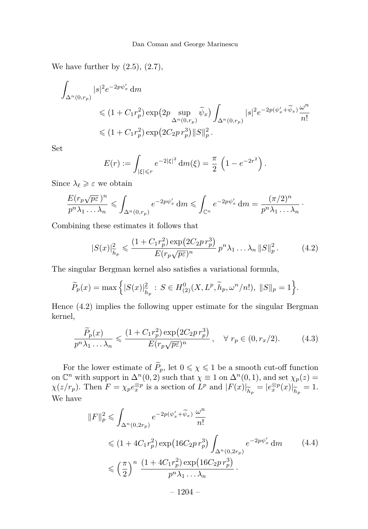We have further by  $(2.5)$ ,  $(2.7)$ ,

$$
\begin{aligned} \int_{\Delta^n(0,r_p)} |s|^2e^{-2p\psi'_x}\,\mathrm{d}m\\ &\quad\leqslant \big(1+C_1r_p^2\big)\exp\!\left(2p\sup_{\Delta^n(0,r_p)}\widetilde{\psi}_x\right)\int_{\Delta^n(0,r_p)}|s|^2e^{-2p(\psi'_x+\widetilde{\psi}_x)}\frac{\omega^n}{n!}\\ &\quad\leqslant \big(1+C_1r_p^2\big)\exp\!\left(2C_2p\,r_p^3\right)\!\|S\|_p^2\,. \end{aligned}
$$

Set

$$
E(r) := \int_{|\xi| \le r} e^{-2|\xi|^2} dm(\xi) = \frac{\pi}{2} \left( 1 - e^{-2r^2} \right).
$$

Since  $\lambda_{\ell} \geq \varepsilon$  we obtain

$$
\frac{E(r_p\sqrt{p\varepsilon})^n}{p^n\lambda_1 \dots \lambda_n} \leqslant \int_{\Delta^n(0,r_p)} e^{-2p\psi'_x} \, \mathrm{d}m \leqslant \int_{\mathbb{C}^n} e^{-2p\psi'_x} \, \mathrm{d}m = \frac{(\pi/2)^n}{p^n\lambda_1 \dots \lambda_n} \, .
$$

Combining these estimates it follows that

<span id="page-12-0"></span>
$$
|S(x)|_{\widetilde{h}_p}^2 \leq \frac{(1 + C_1 r_p^2) \exp(2C_2 p r_p^3)}{E(r_p \sqrt{p \varepsilon})^n} p^n \lambda_1 \dots \lambda_n \|S\|_p^2. \tag{4.2}
$$

The singular Bergman kernel also satisfies a variational formula,

$$
\widetilde{P}_p(x) = \max \left\{ |S(x)|_{\widetilde{h}_p}^2 : S \in H^0_{(2)}(X, L^p, \widetilde{h}_p, \omega^n/n!) , \ \|S\|_p = 1 \right\}.
$$

Hence [\(4.2\)](#page-12-0) implies the following upper estimate for the singular Bergman kernel,

<span id="page-12-2"></span>
$$
\frac{\widetilde{P}_p(x)}{p^n \lambda_1 \dots \lambda_n} \leqslant \frac{(1 + C_1 r_p^2) \exp\left(2C_2 p r_p^3\right)}{E(r_p \sqrt{p\varepsilon})^n}, \quad \forall \ r_p \in (0, r_x/2). \tag{4.3}
$$

For the lower estimate of  $\widetilde{P}_p$ , let  $0 \le \chi \le 1$  be a smooth cut-off function on  $\mathbb{C}^n$  with support in  $\Delta^n(0, 2)$  such that  $\chi \equiv 1$  on  $\Delta^n(0, 1)$ , and set  $\chi_p(z) =$  $\chi(z/r_p)$ . Then  $F = \chi_p e_x^{\otimes p}$  is a section of  $L^p$  and  $|F(x)|_{\widetilde{h}_p} = |e_x^{\otimes p}(x)|_{\widetilde{h}_p} = 1$ .<br>We have We have

<span id="page-12-1"></span>
$$
||F||_p^2 \le \int_{\Delta^n(0,2r_p)} e^{-2p(\psi'_x + \widetilde{\psi}_x)} \frac{\omega^n}{n!}
$$
  
\n
$$
\le (1 + 4C_1 r_p^2) \exp(16C_2p r_p^3) \int_{\Delta^n(0,2r_p)} e^{-2p\psi'_x} dm
$$
  
\n
$$
\le \left(\frac{\pi}{2}\right)^n \frac{(1 + 4C_1r_p^2) \exp(16C_2p r_p^3)}{p^n \lambda_1 \dots \lambda_n}.
$$
  
\n
$$
-1204 -
$$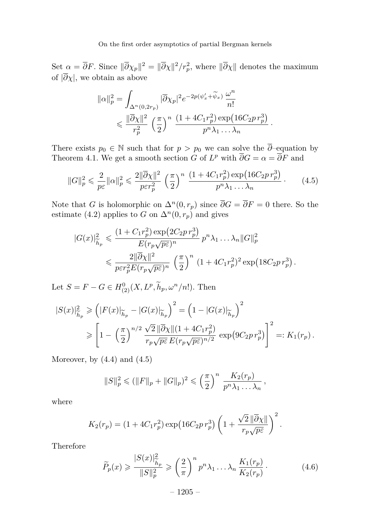Set  $\alpha = \overline{\partial}F$ . Since  $\|\overline{\partial}\chi_p\|^2 = \|\overline{\partial}\chi\|^2/r_p^2$ , where  $\|\overline{\partial}\chi\|$  denotes the maximum of  $|\overline{\partial}\chi|$ , we obtain as above

$$
\|\alpha\|_p^2 = \int_{\Delta^n(0,2r_p)} |\overline{\partial}\chi_p|^2 e^{-2p(\psi_x' + \widetilde{\psi}_x)} \frac{\omega^n}{n!}
$$
  
\$\leqslant \frac{\|\overline{\partial}\chi\|^2}{r\_p^2} \left(\frac{\pi}{2}\right)^n \frac{(1 + 4C\_1r\_p^2) \exp\left(16C\_2p\,r\_p^3\right)}{p^n \lambda\_1 \dots \lambda\_n}.

There exists  $p_0 \in \mathbb{N}$  such that for  $p > p_0$  we can solve the  $\overline{\partial}$ -equation by Theorem [4.1.](#page-11-0) We get a smooth section *G* of  $L^p$  with  $\overline{\partial}G = \alpha = \overline{\partial}F$  and

<span id="page-13-0"></span>
$$
||G||_p^2 \leq \frac{2}{p\varepsilon} ||\alpha||_p^2 \leq \frac{2||\overline{\partial}\chi||^2}{p\varepsilon r_p^2} \left(\frac{\pi}{2}\right)^n \frac{\left(1 + 4C_1 r_p^2\right) \exp\left(16C_2 p r_p^3\right)}{p^n \lambda_1 \dots \lambda_n}.
$$
 (4.5)

Note that *G* is holomorphic on  $\Delta^n(0, r_p)$  since  $\overline{\partial}G = \overline{\partial}F = 0$  there. So the estimate [\(4.2\)](#page-12-0) applies to *G* on  $\Delta^n(0, r_p)$  and gives

$$
|G(x)|_{\widetilde{h}_p}^2 \leq \frac{\left(1 + C_1 r_p^2\right) \exp\left(2C_2 p r_p^3\right)}{E(r_p \sqrt{p\varepsilon})^n} p^n \lambda_1 \dots \lambda_n \|G\|_p^2
$$
  

$$
\leq \frac{2\|\overline{\partial}\chi\|^2}{p\varepsilon r_p^2 E(r_p \sqrt{p\varepsilon})^n} \left(\frac{\pi}{2}\right)^n \left(1 + 4C_1 r_p^2\right)^2 \exp\left(18C_2 p r_p^3\right).
$$

Let  $S = F - G \in H^0_{(2)}(X, L^p, \tilde{h}_p, \omega^n/n!)$ . Then

$$
|S(x)|_{\widetilde{h}_p}^2 \geq (|F(x)|_{\widetilde{h}_p} - |G(x)|_{\widetilde{h}_p})^2 = (1 - |G(x)|_{\widetilde{h}_p})^2
$$
  

$$
\geq \left[1 - \left(\frac{\pi}{2}\right)^{n/2} \frac{\sqrt{2} ||\overline{\partial}\chi|| (1 + 4C_1 r_p^2)}{r_p \sqrt{p \varepsilon} E(r_p \sqrt{p \varepsilon})^{n/2}} \exp(9C_2 p r_p^3)\right]^2 =: K_1(r_p).
$$

Moreover, by  $(4.4)$  and  $(4.5)$ 

$$
||S||_p^2 \le (||F||_p + ||G||_p)^2 \le (\frac{\pi}{2})^n \frac{K_2(r_p)}{p^n \lambda_1 ... \lambda_n},
$$

where

$$
K_2(r_p) = (1 + 4C_1r_p^2)\exp\left(16C_2pr_p^3\right)\left(1 + \frac{\sqrt{2}\left\|\overline{\partial}\chi\right\|}{r_p\sqrt{p\varepsilon}}\right)^2.
$$

Therefore

<span id="page-13-1"></span>
$$
\widetilde{P}_p(x) \ge \frac{|S(x)|_{\widetilde{h}_p}^2}{\|S\|_p^2} \ge \left(\frac{2}{\pi}\right)^n p^n \lambda_1 \dots \lambda_n \frac{K_1(r_p)}{K_2(r_p)}.
$$
\n(4.6)

– 1205 –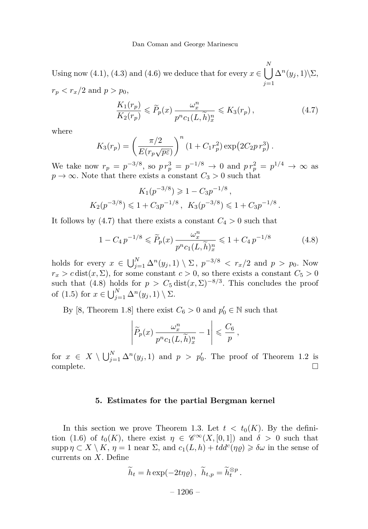Using now [\(4.1\)](#page-11-1), [\(4.3\)](#page-12-2) and [\(4.6\)](#page-13-1) we deduce that for every  $x \in \bigcup_{n=1}^{N}$ *j*=1  $\Delta^{n}(y_j, 1)\backslash\Sigma$ ,  $r_p < r_x/2$  and  $p > p_0$ ,

<span id="page-14-0"></span>
$$
\frac{K_1(r_p)}{K_2(r_p)} \leqslant \widetilde{P}_p(x) \frac{\omega_x^n}{p^n c_1(L, \widetilde{h})_x^n} \leqslant K_3(r_p) ,\qquad (4.7)
$$

where

$$
K_3(r_p) = \left(\frac{\pi/2}{E(r_p\sqrt{p\varepsilon})}\right)^n \left(1 + C_1 r_p^2\right) \exp\left(2C_2 p r_p^3\right).
$$

We take now  $r_p = p^{-3/8}$ , so  $pr_p^3 = p^{-1/8} \to 0$  and  $pr_p^2 = p^{1/4} \to \infty$  as  $p \rightarrow \infty$ . Note that there exists a constant  $C_3 > 0$  such that

$$
K_1(p^{-3/8}) \ge 1 - C_3 p^{-1/8}
$$
,  
\n $K_2(p^{-3/8}) \le 1 + C_3 p^{-1/8}$ ,  $K_3(p^{-3/8}) \le 1 + C_3 p^{-1/8}$ .

It follows by [\(4.7\)](#page-14-0) that there exists a constant  $C_4 > 0$  such that

<span id="page-14-1"></span>
$$
1 - C_4 p^{-1/8} \le \tilde{P}_p(x) \frac{\omega_x^n}{p^n c_1(L, \tilde{h})_x^n} \le 1 + C_4 p^{-1/8}
$$
\n(4.8)

holds for every  $x \in \bigcup_{j=1}^{N} \Delta^n(y_j, 1) \setminus \Sigma$ ,  $p^{-3/8} < r_x/2$  and  $p > p_0$ . Now  $r_x > c \text{ dist}(x, \Sigma)$ , for some constant  $c > 0$ , so there exists a constant  $C_5 > 0$ such that [\(4.8\)](#page-14-1) holds for  $p > C_5$  dist $(x, \Sigma)^{-8/3}$ . This concludes the proof of  $(1.5)$  for  $x \in \bigcup_{j=1}^{N} \Delta^n(y_j, 1) \setminus \Sigma$ .

By [\[8,](#page-17-7) Theorem 1.8] there exist  $C_6 > 0$  and  $p'_0 \in \mathbb{N}$  such that

$$
\left|\widetilde{P}_p(x)\frac{\omega_x^n}{p^n c_1(L,\widetilde{h})_x^n} - 1\right| \leqslant \frac{C_6}{p},
$$

for  $x \in X \setminus \bigcup_{j=1}^N \Delta^n(y_j, 1)$  and  $p > p'_0$ . The proof of Theorem [1.2](#page-3-1) is complete.

#### **5. Estimates for the partial Bergman kernel**

In this section we prove Theorem [1.3.](#page-4-2) Let  $t < t_0(K)$ . By the defini-tion [\(1.6\)](#page-4-4) of  $t_0(K)$ , there exist  $\eta \in \mathscr{C}^{\infty}(X,[0,1])$  and  $\delta > 0$  such that  $\sup p \eta \subset X \setminus K$ ,  $\eta = 1$  near  $\Sigma$ , and  $c_1(L, h) + tdd^c(\eta \rho) \geq \delta \omega$  in the sense of currents on *X*. Define

$$
\widetilde{h}_t = h \exp(-2t\eta \varrho), \ \widetilde{h}_{t,p} = \widetilde{h}_t^{\otimes p}.
$$

 $-1206-$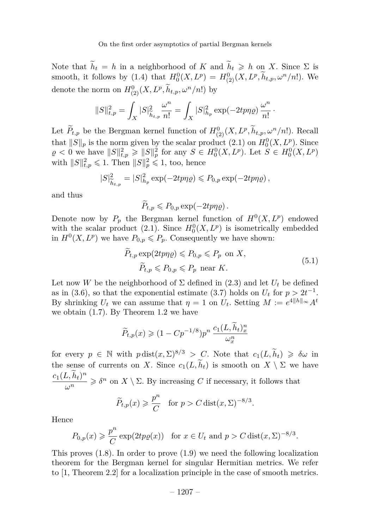Note that  $\widetilde{h}_t = h$  in a neighborhood of *K* and  $\widetilde{h}_t \geq h$  on *X*. Since  $\Sigma$  is smooth, it follows by [\(1.4\)](#page-3-3) that  $H_0^0(X, L^p) = H_{(2)}^0(X, L^p, h_{t,p}, \omega^n/n!)$ . We denote the norm on  $H_{(2)}^0(X, L^p, \tilde{h}_{t,p}, \omega^n/n!)$  by

$$
||S||_{t,p}^{2} = \int_{X} |S|_{\widetilde{h}_{t,p}}^{2} \frac{\omega^{n}}{n!} = \int_{X} |S|_{h_{p}}^{2} \exp(-2tp\eta \varrho) \frac{\omega^{n}}{n!}.
$$

Let  $\tilde{P}_{t,p}$  be the Bergman kernel function of  $H^0_{(2)}(X, L^p, \tilde{h}_{t,p}, \omega^n/n!)$ . Recall that  $||S||_p$  is the norm given by the scalar product [\(2.1\)](#page-6-0) on  $H_0^0(X, L^p)$ . Since  $\rho < 0$  we have  $||S||^2_{t,p} \ge ||S||^2_p$  for any  $S \in H_0^0(X, L^p)$ . Let  $S \in H_0^0(X, L^p)$ with  $||S||_{t,p}^2 \leq 1$ . Then  $||S||_p^2 \leq 1$ , too, hence

$$
|S|^2_{\widetilde{h}_{t,p}} = |S|^2_{h_p} \exp(-2tp\eta\varrho) \leq P_{0,p} \exp(-2tp\eta\varrho),
$$

and thus

$$
\widetilde{P}_{t,p} \leqslant P_{0,p} \exp(-2tp\eta \varrho).
$$

Denote now by  $P_p$  the Bergman kernel function of  $H^0(X, L^p)$  endowed with the scalar product [\(2.1\)](#page-6-0). Since  $H_0^0(X, L^p)$  is isometrically embedded in  $H^0(X, L^p)$  we have  $P_{0,p} \leq P_p$ . Consequently we have shown:

$$
\widetilde{P}_{t,p} \exp(2tp\eta \varrho) \leq P_{0,p} \leq P_p \text{ on } X,
$$
\n
$$
\widetilde{P}_{t,p} \leq P_{0,p} \leq P_p \text{ near } K.
$$
\n(5.1)

<span id="page-15-0"></span>Let now *W* be the neighborhood of  $\Sigma$  defined in [\(2.3\)](#page-7-0) and let  $U_t$  be defined as in [\(3.6\)](#page-9-5), so that the exponential estimate [\(3.7\)](#page-9-6) holds on  $U_t$  for  $p > 2t^{-1}$ . By shrinking  $U_t$  we can assume that  $\eta = 1$  on  $U_t$ . Setting  $M := e^{4||h||_{\infty}} A^t$ we obtain [\(1.7\)](#page-4-0). By Theorem [1.2](#page-3-1) we have

$$
\widetilde{P}_{t,p}(x) \geq (1 - C p^{-1/8}) p^n \frac{c_1(L, \widetilde{h}_t)_x^n}{\omega_x^n}
$$

for every  $p \in \mathbb{N}$  with  $p \text{ dist}(x, \Sigma)^{8/3} > C$ . Note that  $c_1(L, \widetilde{h}_t) \geq \delta \omega$  in the sense of currents on *X*. Since  $c_1(L, \tilde{h}_t)$  is smooth on  $X \setminus \Sigma$  we have  $c_1(L,\widetilde{h}_t)^n$  $\frac{\partial u}{\partial n}$   $\geq \delta^n$  on  $X \setminus \Sigma$ . By increasing *C* if necessary, it follows that

$$
\widetilde{P}_{t,p}(x) \geqslant \frac{p^n}{C} \quad \text{for } p > C \operatorname{dist}(x, \Sigma)^{-8/3}.
$$

Hence

$$
P_{0,p}(x) \geq \frac{p^n}{C} \exp(2tp\varrho(x))
$$
 for  $x \in U_t$  and  $p > C \text{dist}(x, \Sigma)^{-8/3}$ .

This proves [\(1.8\)](#page-4-1). In order to prove [\(1.9\)](#page-4-3) we need the following localization theorem for the Bergman kernel for singular Hermitian metrics. We refer to [\[1,](#page-17-12) Theorem 2.2] for a localization principle in the case of smooth metrics.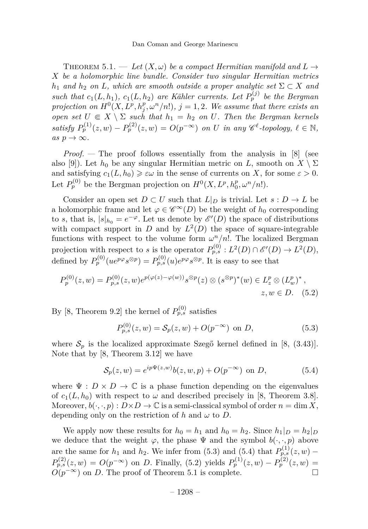<span id="page-16-0"></span>THEOREM 5.1. — Let  $(X, \omega)$  be a compact Hermitian manifold and  $L \rightarrow$ *X be a holomorphic line bundle. Consider two singular Hermitian metrics h*<sub>1</sub> *and h*<sub>2</sub> *on L, which are smooth outside a proper analytic set*  $\Sigma \subset X$  *and such that*  $c_1(L, h_1)$ ,  $c_1(L, h_2)$  *are Kähler currents. Let*  $P_p^{(j)}$  *be the Bergman projection on*  $H^0(X, L^p, h_j^p, \omega^n/n!)$ ,  $j = 1, 2$ . We assume that there exists an *open set*  $U \subseteq X \setminus \Sigma$  *such that*  $h_1 = h_2$  *on*  $U$ *. Then the Bergman kernels satisfy*  $P_p^{(1)}(z, w) - P_p^{(2)}(z, w) = O(p^{-\infty})$  *on U in any*  $\mathscr{C}^{\ell}$ -topology,  $\ell \in \mathbb{N}$ ,  $as p \rightarrow \infty$ .

*Proof. —* The proof follows essentially from the analysis in [\[8\]](#page-17-7) (see also [\[9\]](#page-17-13)). Let  $h_0$  be any singular Hermitian metric on *L*, smooth on  $X \setminus \Sigma$ and satisfying  $c_1(L, h_0) \geq \varepsilon \omega$  in the sense of currents on *X*, for some  $\varepsilon > 0$ . Let  $P_p^{(0)}$  be the Bergman projection on  $H^0(X, L^p, h_0^p, \omega^n/n!)$ .

Consider an open set  $D \subset U$  such that  $L|_D$  is trivial. Let  $s : D \to L$  be a holomorphic frame and let  $\varphi \in \mathscr{C}^{\infty}(D)$  be the weight of  $h_0$  corresponding to *s*, that is,  $|s|_{h_0} = e^{-\varphi}$ . Let us denote by  $\mathscr{E}'(D)$  the space of distributions with compact support in *D* and by  $L^2(D)$  the space of square-integrable functions with respect to the volume form  $\omega^n/n!$ . The localized Bergman projection with respect to *s* is the operator  $P_{p,s}^{(0)}: L^2(D) \cap \mathscr{E}'(D) \to L^2(D)$ , defined by  $P_p^{(0)}(ue^{p\varphi}s^{\otimes p}) = P_{p,s}^{(0)}(u)e^{p\varphi}s^{\otimes p}$ . It is easy to see that

$$
P_p^{(0)}(z, w) = P_{p,s}^{(0)}(z, w)e^{p(\varphi(z) - \varphi(w))}s^{\otimes p}(z) \otimes (s^{\otimes p})^*(w) \in L_z^p \otimes (L_w^p)^*,
$$
  

$$
z, w \in D. \quad (5.2)
$$

By [\[8,](#page-17-7) Theorem 9.2] the kernel of  $P_{p,s}^{(0)}$  satisfies

<span id="page-16-3"></span><span id="page-16-1"></span>
$$
P_{p,s}^{(0)}(z,w) = \mathcal{S}_p(z,w) + O(p^{-\infty}) \text{ on } D,
$$
\n(5.3)

where  $S_p$  is the localized approximate Szegő kernel defined in [\[8,](#page-17-7) (3.43)]. Note that by [\[8,](#page-17-7) Theorem 3.12] we have

<span id="page-16-2"></span>
$$
S_p(z, w) = e^{ip\Psi(z, w)}b(z, w, p) + O(p^{-\infty}) \text{ on } D,
$$
\n(5.4)

where  $\Psi : D \times D \to \mathbb{C}$  is a phase function depending on the eigenvalues of  $c_1(L, h_0)$  with respect to  $\omega$  and described precisely in [\[8,](#page-17-7) Theorem 3.8]. Moreover,  $b(\cdot, \cdot, p) : D \times D \to \mathbb{C}$  is a semi-classical symbol of order  $n = \dim X$ , depending only on the restriction of  $h$  and  $\omega$  to  $D$ .

We apply now these results for  $h_0 = h_1$  and  $h_0 = h_2$ . Since  $h_1|_D = h_2|_D$ we deduce that the weight  $\varphi$ , the phase  $\Psi$  and the symbol  $b(\cdot, \cdot, p)$  above are the same for  $h_1$  and  $h_2$ . We infer from [\(5.3\)](#page-16-1) and [\(5.4\)](#page-16-2) that  $P_{p,s}^{(1)}(z,w)$  –  $P_{p,s}^{(2)}(z,w) = O(p^{-\infty})$  on *D*. Finally, [\(5.2\)](#page-16-3) yields  $P_p^{(1)}(z,w) - P_p^{(2)}(z,w) =$  $O(p^{-\infty})$  on *D*. The proof of Theorem [5.1](#page-16-0) is complete.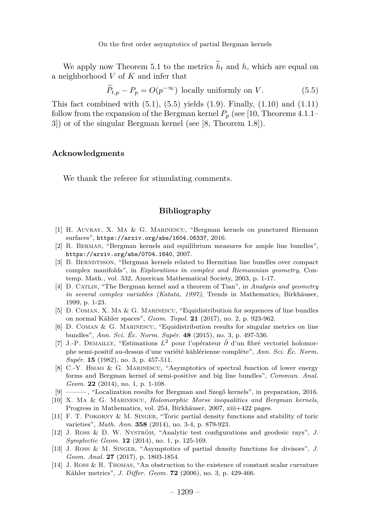We apply now Theorem [5.1](#page-16-0) to the metrics  $\tilde{h}_t$  and *h*, which are equal on a neighborhood *V* of *K* and infer that

<span id="page-17-14"></span> $\widetilde{P}_{t,p} - P_p = O(p^{-\infty})$  locally uniformly on *V*. (5.5)

This fact combined with  $(5.1)$ ,  $(5.5)$  yields  $(1.9)$ . Finally,  $(1.10)$  and  $(1.11)$ follow from the expansion of the Bergman kernel  $P_p$  (see [\[10,](#page-17-5) Theorems 4.1.1– 3]) or of the singular Bergman kernel (see [\[8,](#page-17-7) Theorem 1.8]).

#### **Acknowledgments**

We thank the referee for stimulating comments.

#### **Bibliography**

- <span id="page-17-12"></span>[1] H. Auvray, X. Ma & G. Marinescu, "Bergman kernels on punctured Riemann surfaces", <https://arxiv.org/abs/1604.06337>, 2016.
- <span id="page-17-3"></span>[2] R. Berman, "Bergman kernels and equilibrium measures for ample line bundles", <https://arxiv.org/abs/0704.1640>, 2007.
- <span id="page-17-10"></span>[3] B. BERNDTSSON, "Bergman kernels related to Hermitian line bundles over compact complex manifolds", in *Explorations in complex and Riemannian geometry*, Contemp. Math., vol. 332, American Mathematical Society, 2003, p. 1-17.
- <span id="page-17-4"></span>[4] D. Catlin, "The Bergman kernel and a theorem of Tian", in *Analysis and geometry in several complex variables (Katata, 1997)*, Trends in Mathematics, Birkhäuser, 1999, p. 1-23.
- <span id="page-17-8"></span>[5] D. Coman, X. Ma & G. Marinescu, "Equidistribution for sequences of line bundles on normal Kähler spaces", *Geom. Topol.* **21** (2017), no. 2, p. 923-962.
- <span id="page-17-9"></span>[6] D. Coman & G. Marinescu, "Equidistribution results for singular metrics on line bundles", *Ann. Sci. Éc. Norm. Supér.* **48** (2015), no. 3, p. 497-536.
- <span id="page-17-11"></span>[7] J.-P. Demailly, "Estimations *L*<sup>2</sup> pour l'opérateur *∂*¯ d'un fibré vectoriel holomorphe semi-positif au-dessus d'une variété kählérienne complète", *Ann. Sci. Éc. Norm. Supér.* **15** (1982), no. 3, p. 457-511.
- <span id="page-17-7"></span>[8] C.-Y. Hsiao & G. Marinescu, "Asymptotics of spectral function of lower energy forms and Bergman kernel of semi-positive and big line bundles", *Commun. Anal. Geom.* **22** (2014), no. 1, p. 1-108.
- <span id="page-17-13"></span>[9] ——— , "Localization results for Bergman and Szegő kernels", in preparation, 2016.
- <span id="page-17-5"></span>[10] X. Ma & G. Marinescu, *Holomorphic Morse inequalities and Bergman kernels*, Progress in Mathematics, vol. 254, Birkhäuser, 2007, xiii+422 pages.
- <span id="page-17-0"></span>[11] F. T. POKORNY & M. SINGER, "Toric partial density functions and stability of toric varieties", *Math. Ann.* **358** (2014), no. 3-4, p. 879-923.
- <span id="page-17-1"></span>[12] J. Ross & D. W. Nyström, "Analytic test configurations and geodesic rays", *J. Symplectic Geom.* **12** (2014), no. 1, p. 125-169.
- <span id="page-17-2"></span>[13] J. Ross & M. Singer, "Asymptotics of partial density functions for divisors", *J. Geom. Anal.* **27** (2017), p. 1803-1854.
- <span id="page-17-6"></span>[14] J. Ross & R. Thomas, "An obstruction to the existence of constant scalar curvature Kähler metrics", *J. Differ. Geom.* **72** (2006), no. 3, p. 429-466.